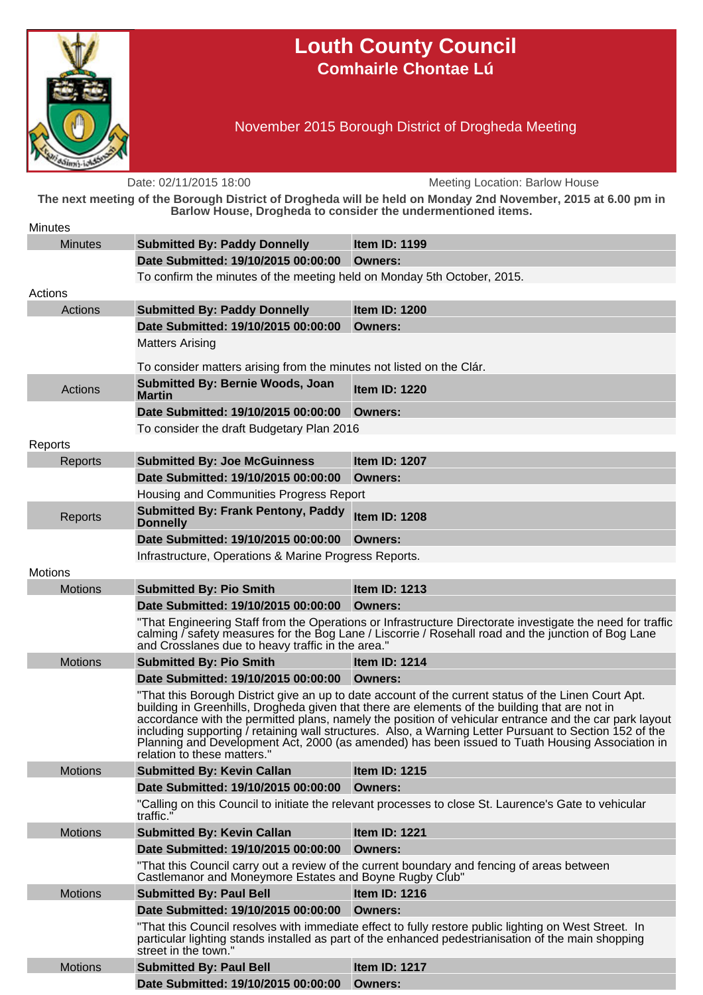

## **Louth County Council Comhairle Chontae Lú**

November 2015 Borough District of Drogheda Meeting

Date: 02/11/2015 18:00 Meeting Location: Barlow House **The next meeting of the Borough District of Drogheda will be held on Monday 2nd November, 2015 at 6.00 pm in Barlow House, Drogheda to consider the undermentioned items. Minutes** Minutes **Submitted By: Paddy Donnelly Item ID: 1199 Date Submitted: 19/10/2015 00:00:00 Owners:** To confirm the minutes of the meeting held on Monday 5th October, 2015. Actions Actions **Submitted By: Paddy Donnelly Item ID: 1200 Date Submitted: 19/10/2015 00:00:00 Owners:** Matters Arising To consider matters arising from the minutes not listed on the Clár. Actions **Submitted By: Bernie Woods, Joan Martin Item ID: 1220 Date Submitted: 19/10/2015 00:00:00 Owners:** To consider the draft Budgetary Plan 2016 Reports Reports **Submitted By: Joe McGuinness Item ID: 1207 Date Submitted: 19/10/2015 00:00:00 Owners:** Housing and Communities Progress Report Reports **Submitted By: Frank Pentony, Paddy Donnelly Item ID: 1208 Date Submitted: 19/10/2015 00:00:00 Owners:** Infrastructure, Operations & Marine Progress Reports. **Motions** Motions **Submitted By: Pio Smith Item ID: 1213 Date Submitted: 19/10/2015 00:00:00 Owners:** "That Engineering Staff from the Operations or Infrastructure Directorate investigate the need for traffic calming / safety measures for the Bog Lane / Liscorrie / Rosehall road and the junction of Bog Lane and Crosslanes due to heavy traffic in the area." Motions **Submitted By: Pio Smith Item ID: 1214 Date Submitted: 19/10/2015 00:00:00 Owners:** "That this Borough District give an up to date account of the current status of the Linen Court Apt. building in Greenhills, Drogheda given that there are elements of the building that are not in accordance with the permitted plans, namely the position of vehicular entrance and the car park layout including supporting / retaining wall structures. Also, a Warning Letter Pursuant to Section 152 of the Planning and Development Act, 2000 (as amended) has been issued to Tuath Housing Association in relation to these matters. Motions **Submitted By: Kevin Callan Item ID: 1215 Date Submitted: 19/10/2015 00:00:00 Owners:** "Calling on this Council to initiate the relevant processes to close St. Laurence's Gate to vehicular traffic." Motions **Submitted By: Kevin Callan Item ID: 1221 Date Submitted: 19/10/2015 00:00:00 Owners:** "That this Council carry out a review of the current boundary and fencing of areas between Castlemanor and Moneymore Estates and Boyne Rugby Club" Motions **Submitted By: Paul Bell Item ID: 1216 Date Submitted: 19/10/2015 00:00:00 Owners:** "That this Council resolves with immediate effect to fully restore public lighting on West Street. In particular lighting stands installed as part of the enhanced pedestrianisation of the main shopping street in the town. Motions **Submitted By: Paul Bell Item ID: 1217 Date Submitted: 19/10/2015 00:00:00 Owners:**